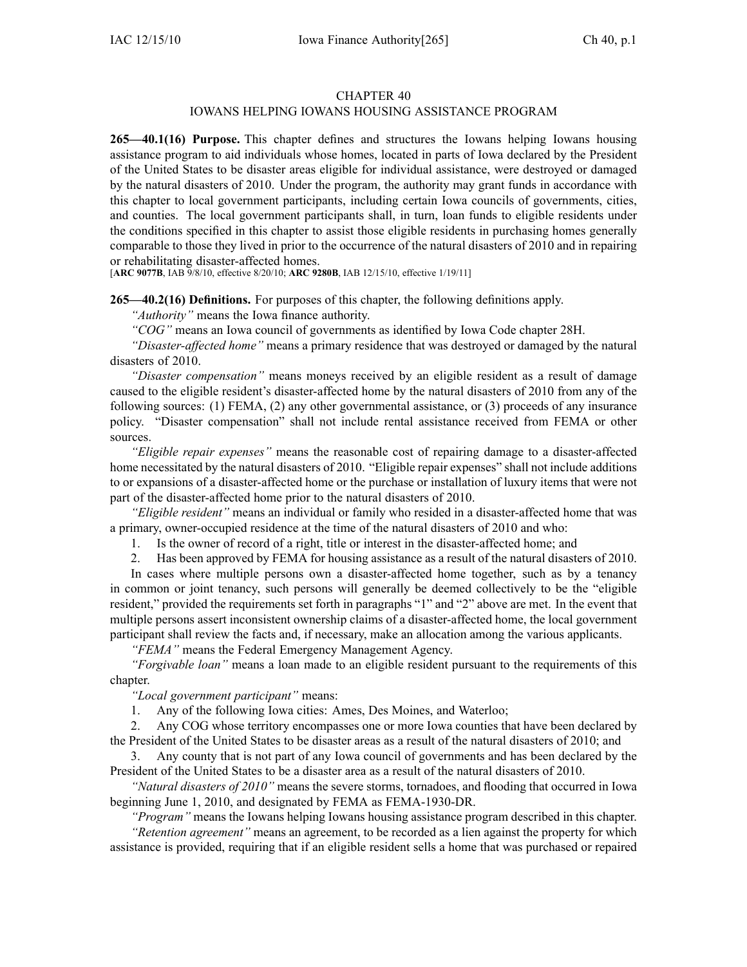### CHAPTER 40

# IOWANS HELPING IOWANS HOUSING ASSISTANCE PROGRAM

**265—40.1(16) Purpose.** This chapter defines and structures the Iowans helping Iowans housing assistance program to aid individuals whose homes, located in parts of Iowa declared by the President of the United States to be disaster areas eligible for individual assistance, were destroyed or damaged by the natural disasters of 2010. Under the program, the authority may gran<sup>t</sup> funds in accordance with this chapter to local governmen<sup>t</sup> participants, including certain Iowa councils of governments, cities, and counties. The local governmen<sup>t</sup> participants shall, in turn, loan funds to eligible residents under the conditions specified in this chapter to assist those eligible residents in purchasing homes generally comparable to those they lived in prior to the occurrence of the natural disasters of 2010 and in repairing or rehabilitating disaster-affected homes.

[**ARC 9077B**, IAB 9/8/10, effective 8/20/10; **ARC 9280B**, IAB 12/15/10, effective 1/19/11]

**265—40.2(16) Definitions.** For purposes of this chapter, the following definitions apply.

*"Authority"* means the Iowa finance authority.

*"COG"* means an Iowa council of governments as identified by Iowa Code chapter 28H.

*"Disaster-affected home"* means <sup>a</sup> primary residence that was destroyed or damaged by the natural disasters of 2010.

*"Disaster compensation"* means moneys received by an eligible resident as <sup>a</sup> result of damage caused to the eligible resident's disaster-affected home by the natural disasters of 2010 from any of the following sources: (1) FEMA, (2) any other governmental assistance, or (3) proceeds of any insurance policy. "Disaster compensation" shall not include rental assistance received from FEMA or other sources.

*"Eligible repair expenses"* means the reasonable cost of repairing damage to <sup>a</sup> disaster-affected home necessitated by the natural disasters of 2010. "Eligible repair expenses" shall not include additions to or expansions of <sup>a</sup> disaster-affected home or the purchase or installation of luxury items that were not par<sup>t</sup> of the disaster-affected home prior to the natural disasters of 2010.

*"Eligible resident"* means an individual or family who resided in <sup>a</sup> disaster-affected home that was <sup>a</sup> primary, owner-occupied residence at the time of the natural disasters of 2010 and who:

1. Is the owner of record of <sup>a</sup> right, title or interest in the disaster-affected home; and

2. Has been approved by FEMA for housing assistance as <sup>a</sup> result of the natural disasters of 2010.

In cases where multiple persons own <sup>a</sup> disaster-affected home together, such as by <sup>a</sup> tenancy in common or joint tenancy, such persons will generally be deemed collectively to be the "eligible resident," provided the requirements set forth in paragraphs "1" and "2" above are met. In the event that multiple persons assert inconsistent ownership claims of <sup>a</sup> disaster-affected home, the local governmen<sup>t</sup> participant shall review the facts and, if necessary, make an allocation among the various applicants.

*"FEMA"* means the Federal Emergency Management Agency.

*"Forgivable loan"* means <sup>a</sup> loan made to an eligible resident pursuan<sup>t</sup> to the requirements of this chapter.

*"Local governmen<sup>t</sup> participant"* means:

1. Any of the following Iowa cities: Ames, Des Moines, and Waterloo;

2. Any COG whose territory encompasses one or more Iowa counties that have been declared by the President of the United States to be disaster areas as <sup>a</sup> result of the natural disasters of 2010; and

3. Any county that is not par<sup>t</sup> of any Iowa council of governments and has been declared by the President of the United States to be <sup>a</sup> disaster area as <sup>a</sup> result of the natural disasters of 2010.

*"Natural disasters of 2010"* means the severe storms, tornadoes, and flooding that occurred in Iowa beginning June 1, 2010, and designated by FEMA as FEMA-1930-DR.

*"Program"* means the Iowans helping Iowans housing assistance program described in this chapter.

*"Retention agreement"* means an agreement, to be recorded as <sup>a</sup> lien against the property for which assistance is provided, requiring that if an eligible resident sells <sup>a</sup> home that was purchased or repaired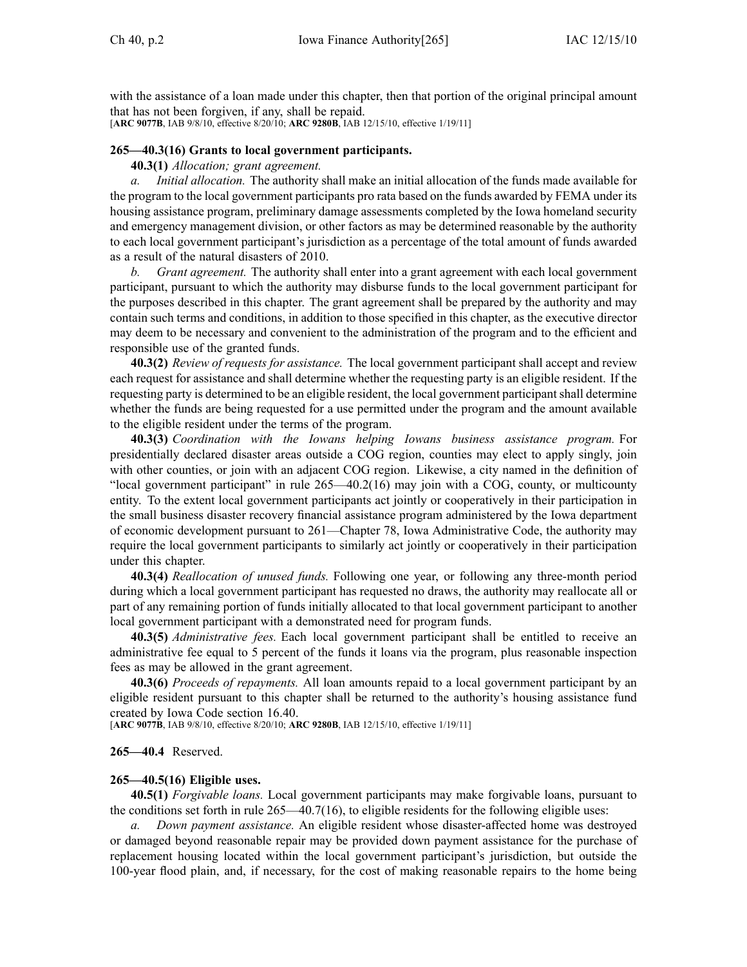with the assistance of a loan made under this chapter, then that portion of the original principal amount that has not been forgiven, if any, shall be repaid. [**ARC 9077B**, IAB 9/8/10, effective 8/20/10; **ARC 9280B**, IAB 12/15/10, effective 1/19/11]

## **265—40.3(16) Grants to local government participants.**

**40.3(1)** *Allocation; gran<sup>t</sup> agreement.*

*a. Initial allocation.* The authority shall make an initial allocation of the funds made available for the program to the local governmen<sup>t</sup> participants pro rata based on the funds awarded by FEMA under its housing assistance program, preliminary damage assessments completed by the Iowa homeland security and emergency managemen<sup>t</sup> division, or other factors as may be determined reasonable by the authority to each local governmen<sup>t</sup> participant's jurisdiction as <sup>a</sup> percentage of the total amount of funds awarded as <sup>a</sup> result of the natural disasters of 2010.

*b. Grant agreement.* The authority shall enter into <sup>a</sup> gran<sup>t</sup> agreemen<sup>t</sup> with each local governmen<sup>t</sup> participant, pursuan<sup>t</sup> to which the authority may disburse funds to the local governmen<sup>t</sup> participant for the purposes described in this chapter. The gran<sup>t</sup> agreemen<sup>t</sup> shall be prepared by the authority and may contain such terms and conditions, in addition to those specified in this chapter, as the executive director may deem to be necessary and convenient to the administration of the program and to the efficient and responsible use of the granted funds.

**40.3(2)** *Review of requests for assistance.* The local governmen<sup>t</sup> participant shall accep<sup>t</sup> and review each reques<sup>t</sup> for assistance and shall determine whether the requesting party is an eligible resident. If the requesting party is determined to be an eligible resident, the local governmen<sup>t</sup> participantshall determine whether the funds are being requested for <sup>a</sup> use permitted under the program and the amount available to the eligible resident under the terms of the program.

**40.3(3)** *Coordination with the Iowans helping Iowans business assistance program.* For presidentially declared disaster areas outside <sup>a</sup> COG region, counties may elect to apply singly, join with other counties, or join with an adjacent COG region. Likewise, a city named in the definition of "local governmen<sup>t</sup> participant" in rule 265—40.2(16) may join with <sup>a</sup> COG, county, or multicounty entity. To the extent local governmen<sup>t</sup> participants act jointly or cooperatively in their participation in the small business disaster recovery financial assistance program administered by the Iowa department of economic development pursuan<sup>t</sup> to 261—Chapter 78, Iowa Administrative Code, the authority may require the local governmen<sup>t</sup> participants to similarly act jointly or cooperatively in their participation under this chapter.

**40.3(4)** *Reallocation of unused funds.* Following one year, or following any three-month period during which <sup>a</sup> local governmen<sup>t</sup> participant has requested no draws, the authority may reallocate all or par<sup>t</sup> of any remaining portion of funds initially allocated to that local governmen<sup>t</sup> participant to another local governmen<sup>t</sup> participant with <sup>a</sup> demonstrated need for program funds.

**40.3(5)** *Administrative fees.* Each local governmen<sup>t</sup> participant shall be entitled to receive an administrative fee equal to 5 percen<sup>t</sup> of the funds it loans via the program, plus reasonable inspection fees as may be allowed in the gran<sup>t</sup> agreement.

**40.3(6)** *Proceeds of repayments.* All loan amounts repaid to <sup>a</sup> local governmen<sup>t</sup> participant by an eligible resident pursuan<sup>t</sup> to this chapter shall be returned to the authority's housing assistance fund created by Iowa Code section 16.40.

[**ARC 9077B**, IAB 9/8/10, effective 8/20/10; **ARC 9280B**, IAB 12/15/10, effective 1/19/11]

### **265—40.4** Reserved.

#### **265—40.5(16) Eligible uses.**

**40.5(1)** *Forgivable loans.* Local governmen<sup>t</sup> participants may make forgivable loans, pursuan<sup>t</sup> to the conditions set forth in rule  $265-40.7(16)$ , to eligible residents for the following eligible uses:

*a. Down paymen<sup>t</sup> assistance.* An eligible resident whose disaster-affected home was destroyed or damaged beyond reasonable repair may be provided down paymen<sup>t</sup> assistance for the purchase of replacement housing located within the local governmen<sup>t</sup> participant's jurisdiction, but outside the 100-year flood plain, and, if necessary, for the cost of making reasonable repairs to the home being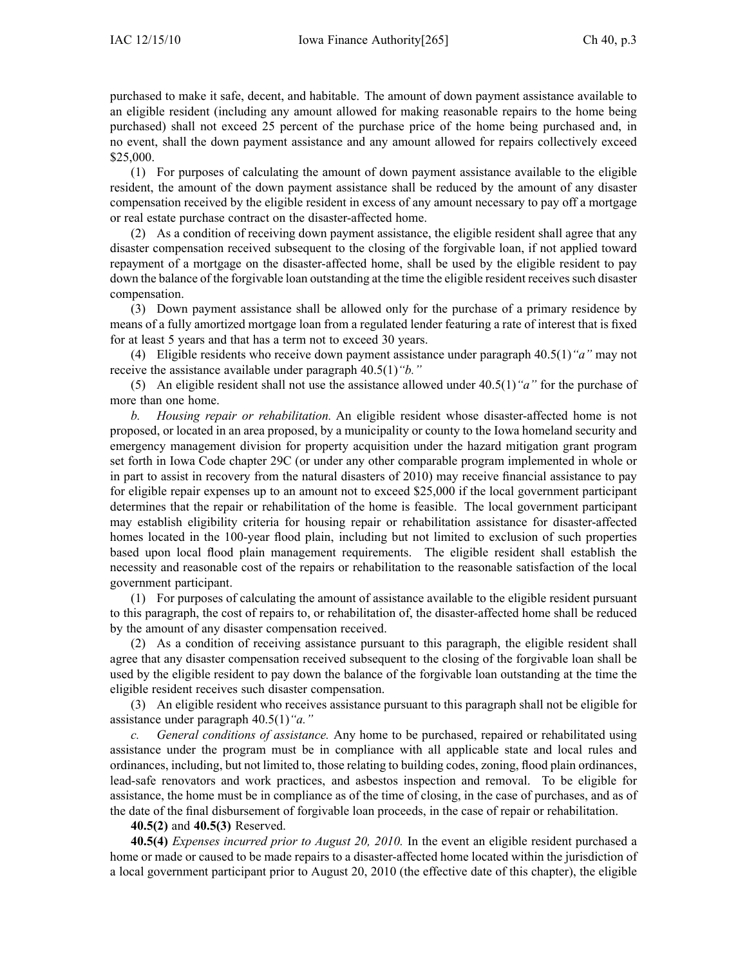purchased to make it safe, decent, and habitable. The amount of down paymen<sup>t</sup> assistance available to an eligible resident (including any amount allowed for making reasonable repairs to the home being purchased) shall not exceed 25 percen<sup>t</sup> of the purchase price of the home being purchased and, in no event, shall the down paymen<sup>t</sup> assistance and any amount allowed for repairs collectively exceed \$25,000.

(1) For purposes of calculating the amount of down paymen<sup>t</sup> assistance available to the eligible resident, the amount of the down paymen<sup>t</sup> assistance shall be reduced by the amount of any disaster compensation received by the eligible resident in excess of any amount necessary to pay off <sup>a</sup> mortgage or real estate purchase contract on the disaster-affected home.

(2) As <sup>a</sup> condition of receiving down paymen<sup>t</sup> assistance, the eligible resident shall agree that any disaster compensation received subsequent to the closing of the forgivable loan, if not applied toward repaymen<sup>t</sup> of <sup>a</sup> mortgage on the disaster-affected home, shall be used by the eligible resident to pay down the balance of the forgivable loan outstanding at the time the eligible resident receives such disaster compensation.

(3) Down paymen<sup>t</sup> assistance shall be allowed only for the purchase of <sup>a</sup> primary residence by means of <sup>a</sup> fully amortized mortgage loan from <sup>a</sup> regulated lender featuring <sup>a</sup> rate of interest that is fixed for at least 5 years and that has <sup>a</sup> term not to exceed 30 years.

(4) Eligible residents who receive down paymen<sup>t</sup> assistance under paragraph 40.5(1)*"a"* may not receive the assistance available under paragraph 40.5(1)*"b."*

(5) An eligible resident shall not use the assistance allowed under 40.5(1)*"a"* for the purchase of more than one home.

*b. Housing repair or rehabilitation.* An eligible resident whose disaster-affected home is not proposed, or located in an area proposed, by <sup>a</sup> municipality or county to the Iowa homeland security and emergency managemen<sup>t</sup> division for property acquisition under the hazard mitigation gran<sup>t</sup> program set forth in Iowa Code chapter 29C (or under any other comparable program implemented in whole or in par<sup>t</sup> to assist in recovery from the natural disasters of 2010) may receive financial assistance to pay for eligible repair expenses up to an amount not to exceed \$25,000 if the local governmen<sup>t</sup> participant determines that the repair or rehabilitation of the home is feasible. The local governmen<sup>t</sup> participant may establish eligibility criteria for housing repair or rehabilitation assistance for disaster-affected homes located in the 100-year flood plain, including but not limited to exclusion of such properties based upon local flood plain managemen<sup>t</sup> requirements. The eligible resident shall establish the necessity and reasonable cost of the repairs or rehabilitation to the reasonable satisfaction of the local governmen<sup>t</sup> participant.

(1) For purposes of calculating the amount of assistance available to the eligible resident pursuan<sup>t</sup> to this paragraph, the cost of repairs to, or rehabilitation of, the disaster-affected home shall be reduced by the amount of any disaster compensation received.

(2) As <sup>a</sup> condition of receiving assistance pursuan<sup>t</sup> to this paragraph, the eligible resident shall agree that any disaster compensation received subsequent to the closing of the forgivable loan shall be used by the eligible resident to pay down the balance of the forgivable loan outstanding at the time the eligible resident receives such disaster compensation.

(3) An eligible resident who receives assistance pursuan<sup>t</sup> to this paragraph shall not be eligible for assistance under paragraph 40.5(1)*"a."*

*c. General conditions of assistance.* Any home to be purchased, repaired or rehabilitated using assistance under the program must be in compliance with all applicable state and local rules and ordinances, including, but not limited to, those relating to building codes, zoning, flood plain ordinances, lead-safe renovators and work practices, and asbestos inspection and removal. To be eligible for assistance, the home must be in compliance as of the time of closing, in the case of purchases, and as of the date of the final disbursement of forgivable loan proceeds, in the case of repair or rehabilitation.

### **40.5(2)** and **40.5(3)** Reserved.

**40.5(4)** *Expenses incurred prior to August 20, 2010.* In the event an eligible resident purchased <sup>a</sup> home or made or caused to be made repairs to <sup>a</sup> disaster-affected home located within the jurisdiction of <sup>a</sup> local governmen<sup>t</sup> participant prior to August 20, 2010 (the effective date of this chapter), the eligible